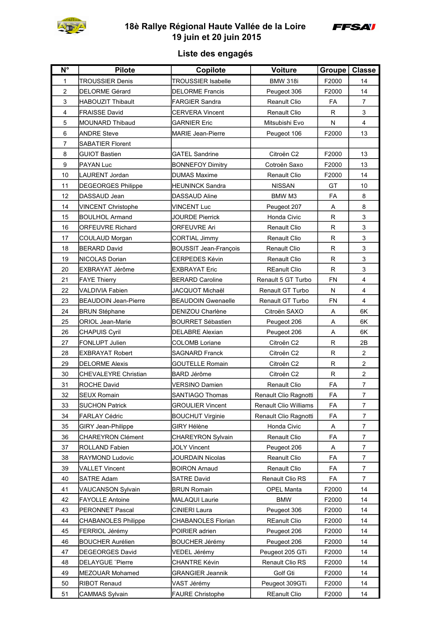

## **18è Rallye Régional Haute Vallée de la Loire 19 juin et 20 juin 2015**



## **Liste des engagés**

| $N^{\circ}$    | <b>Pilote</b>               | Copilote                     | Voiture                      | Groupe   Classe |                         |
|----------------|-----------------------------|------------------------------|------------------------------|-----------------|-------------------------|
| 1              | <b>TROUSSIER Denis</b>      | <b>TROUSSIER Isabelle</b>    | <b>BMW 318i</b>              | F2000           | 14                      |
| $\overline{2}$ | <b>DELORME Gérard</b>       | <b>DELORME Francis</b>       | Peugeot 306                  | F2000           | 14                      |
| 3              | HABOUZIT Thibault           | <b>FARGIER Sandra</b>        | <b>Reanult Clio</b>          | FA              | $\overline{7}$          |
| 4              | <b>FRAISSE David</b>        | <b>CERVERA Vincent</b>       | <b>Renault Clio</b>          | R               | 3                       |
| 5              | <b>MOUNARD Thibaud</b>      | <b>GARNIER Eric</b>          | Mitsubishi Evo               | N               | 4                       |
| 6              | <b>ANDRE Steve</b>          | MARIE Jean-Pierre            | Peugeot 106                  | F2000           | 13                      |
| 7              | <b>SABATIER Florent</b>     |                              |                              |                 |                         |
| 8              | <b>GUIOT Bastien</b>        | <b>GATEL Sandrine</b>        | Citroën C2                   | F2000           | 13                      |
| 9              | <b>PAYAN Luc</b>            | <b>BONNEFOY Dimitry</b>      | Cotroën Saxo                 | F2000           | 13                      |
| 10             | <b>LAURENT Jordan</b>       | DUMAS Maxime                 | <b>Renault Clio</b>          | F2000           | 14                      |
| 11             | <b>DEGEORGES Philippe</b>   | <b>HEUNINCK Sandra</b>       | <b>NISSAN</b>                | GT              | 10                      |
| 12             | DASSAUD Jean                | <b>DASSAUD Aline</b>         | BMW M3                       | FA              | 8                       |
| 14             | <b>VINCENT Christophe</b>   | <b>VINCENT Luc</b>           | Peugeot 207                  | Α               | 8                       |
| 15             | <b>BOULHOL Armand</b>       | JOURDE Pierrick              | Honda Civic                  | R               | 3                       |
| 16             | <b>ORFEUVRE Richard</b>     | <b>ORFEUVRE Ari</b>          | <b>Renault Clio</b>          | R               | 3                       |
| 17             | <b>COULAUD Morgan</b>       | <b>CORTIAL Jimmy</b>         | <b>Renault Clio</b>          | R               | 3                       |
| 18             | <b>BERARD David</b>         | <b>BOUSSIT Jean-François</b> | <b>Renault Clio</b>          | R               | 3                       |
| 19             | NICOLAS Dorian              | <b>CERPEDES Kévin</b>        | <b>Renault Clio</b>          | R               | 3                       |
| 20             | EXBRAYAT Jérôme             | <b>EXBRAYAT Eric</b>         | <b>REanult Clio</b>          | R               | 3                       |
| 21             | <b>FAYE Thierry</b>         | <b>BERARD Caroline</b>       | Renault 5 GT Turbo           | <b>FN</b>       | $\overline{\mathbf{4}}$ |
| 22             | <b>VALDIVIA Fabien</b>      | JACQUOT Michaël              | Renault GT Turbo             | N               | 4                       |
| 23             | <b>BEAUDOIN Jean-Pierre</b> | <b>BEAUDOIN Gwenaelle</b>    | Renault GT Turbo             | <b>FN</b>       | 4                       |
| 24             | <b>BRUN Stéphane</b>        | DENIZOU Charlène             | Citroën SAXO                 | Α               | 6K                      |
| 25             | ORIOL Jean-Marie            | <b>BOURRET Sébastien</b>     | Peugeot 206                  | A               | 6K                      |
| 26             | <b>CHAPUIS Cyril</b>        | <b>DELABRE Alexian</b>       | Peugeot 206                  | Α               | 6K                      |
| 27             | FONLUPT Julien              | <b>COLOMB Loriane</b>        | Citroën C2                   | R               | 2B                      |
| 28             | <b>EXBRAYAT Robert</b>      | <b>SAGNARD Franck</b>        | Citroen C2                   | R               | $\overline{2}$          |
| 29             | <b>DELORME Alexis</b>       | <b>GOUTELLE Romain</b>       | Citroën C2                   | R               | $\overline{a}$          |
| 30             | <b>CHEVALEYRE Christian</b> | <b>BARD Jérôme</b>           | Citroën C2                   | $\mathsf{R}$    | $\overline{2}$          |
| 31             | <b>ROCHE David</b>          | <b>VERSINO Damien</b>        | <b>Renault Clio</b>          | FA              | $\overline{7}$          |
| 32             | <b>SEUX Romain</b>          | SANTIAGO Thomas              | Renault Clio Ragnotti        | FA              | 7                       |
| 33             | <b>SUCHON Patrick</b>       | <b>GROULIER Vincent</b>      | <b>Renault Clio Williams</b> | FA              | $\overline{7}$          |
| 34             | <b>FARLAY Cédric</b>        | <b>BOUCHUT Virginie</b>      | Renault Clio Ragnotti        | FA              | $\overline{7}$          |
| 35             | <b>GIRY Jean-Philippe</b>   | GIRY Hélène                  | Honda Civic                  | A               | $\overline{7}$          |
| 36             | <b>CHAREYRON Clément</b>    | <b>CHAREYRON Sylvain</b>     | Renault Clio                 | FA              | $\overline{7}$          |
| 37             | <b>ROLLAND Fabien</b>       | <b>JOLY Vincent</b>          | Peugeot 206                  | A               | $\overline{7}$          |
| 38             | RAYMOND Ludovic             | <b>JOURDAIN Nicolas</b>      | Reanult Clio                 | FA              | $\overline{7}$          |
| 39             | <b>VALLET Vincent</b>       | <b>BOIRON Arnaud</b>         | Renault Clio                 | FA              | $\overline{7}$          |
| 40             | <b>SATRE Adam</b>           | <b>SATRE David</b>           | Renault Clio RS              | FA              | $\overline{7}$          |
| 41             | VAUCANSON Sylvain           | <b>BRUN Romain</b>           | <b>OPEL Manta</b>            | F2000           | 14                      |
| 42             | <b>FAYOLLE Antoine</b>      | MALAQUI Laurie               | <b>BMW</b>                   | F2000           | 14                      |
| 43             | PERONNET Pascal             | CINIERI Laura                | Peugeot 306                  | F2000           | 14                      |
| 44             | <b>CHABANOLES Philippe</b>  | <b>CHABANOLES Florian</b>    | <b>REanult Clio</b>          | F2000           | 14                      |
| 45             | FERRIOL Jérémy              | POIRIER adrien               | Peugeot 206                  | F2000           | 14                      |
| 46             | <b>BOUCHER Aurélien</b>     | <b>BOUCHER Jérémy</b>        | Peugeot 206                  | F2000           | 14                      |
| 47             | <b>DEGEORGES David</b>      | VEDEL Jérémy                 | Peugeot 205 GTi              | F2000           | 14                      |
| 48             | <b>DELAYGUE</b> "Pierre     | <b>CHANTRE Kévin</b>         | Renault Clio RS              | F2000           | 14                      |
| 49             | MEZOUAR Mohamed             | <b>GRANGIER Jeannik</b>      | Golf Gti                     | F2000           | 14                      |
| 50             | <b>RIBOT Renaud</b>         | VAST Jérémy                  | Peugeot 309GTi               | F2000           | 14                      |
| 51             | <b>CAMMAS Sylvain</b>       | <b>FAURE Christophe</b>      | <b>REanult Clio</b>          | F2000           | 14                      |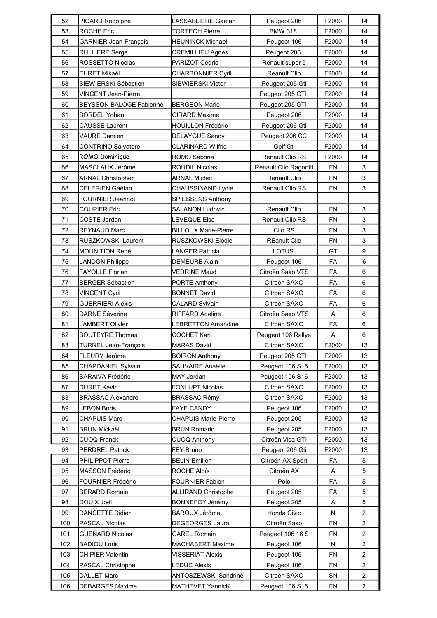| 52  | PICARD Rodolphe                  | LASSABLIERE Gaëtan          | Peugeot 206            | F2000     | 14                      |
|-----|----------------------------------|-----------------------------|------------------------|-----------|-------------------------|
| 53  | <b>ROCHE Eric</b>                | <b>TORTECH Pierre</b>       | <b>BMW 318</b>         | F2000     | 14                      |
| 54  | GARNIER Jean-François            | <b>HEUNINCK Michael</b>     | Peugeot 106            | F2000     | 14                      |
| 55  | <b>RULLIERE Serge</b>            | CREMILLIEU Agnès            | Peugeot 206            | F2000     | 14                      |
| 56  | ROSSETTO Nicolas                 | PARIZOT Cédric              | Renault super 5        | F2000     | 14                      |
| 57  | <b>EHRET Mikaël</b>              | <b>CHARBONNIER Cyril</b>    | <b>Reanult Clio</b>    | F2000     | 14                      |
| 58  | SIEWIERSKI Sébastien             | SIEWIERSKI Victor           | Peugeot 205 Gti        | F2000     | 14                      |
| 59  | <b>VINCENT Jean-Pierre</b>       |                             | Peugeot 205 GTI        | F2000     | 14                      |
| 60  | BEYSSON BALOGE Fabienne          | <b>BERGEON Marie</b>        | Peugeot 205 GTI        | F2000     | 14                      |
| 61  | <b>BORDEL Yohan</b>              | <b>GIRARD Maxime</b>        | Peugeot 206            | F2000     | 14                      |
| 62  | CAUSSE Laurent                   | <b>HOUILLON Frédéric</b>    | Peugeot 206 Gti        | F2000     | 14                      |
| 63  | VAURE Damien                     | <b>DELAYGUE Sandy</b>       | Peugeot 206 CC         | F2000     | 14                      |
| 64  | CONTRINO Salvatore               | <b>CLARINARD Wilfrid</b>    | Golf Gti               | F2000     | 14                      |
| 65  | ROMO Dominique                   | ROMO Sabrina                | <b>Renault Clio RS</b> | F2000     | 14                      |
| 66  | MASCLAUX Jérôme                  | <b>ROUDIL Nicolas</b>       | Renault Clio Ragnotti  | <b>FN</b> | 3                       |
| 67  | <b>ARNAL Christopher</b>         | <b>ARNAL Michel</b>         | Renault Clio           | <b>FN</b> | 3                       |
| 68  | CELERIEN Gaëtan                  | CHAUSSINAND Lydie           | Renault Clio RS        | <b>FN</b> | 3                       |
| 69  | FOURNIER Jeannot                 | <b>SPIESSENS Anthony</b>    |                        |           |                         |
| 70  | COUPIER Eric                     | <b>SALANON Ludovic</b>      | Renault Clio           | <b>FN</b> | 3                       |
| 71  | COSTE Jordan                     | <b>LEVEQUE Elsa</b>         | Renault Clio RS        | <b>FN</b> | 3                       |
| 72  | <b>REYNAUD Marc</b>              | <b>BILLOUX Marie-Pierre</b> | Clio RS                | FN        | 3                       |
| 73  | RUSZKOWSKI Laurent               | RUSZKOWSKI Elodie           | <b>REanult Clio</b>    | FN        | 3                       |
| 74  | <b>MOUNITION René</b>            | <b>LANGER Patricia</b>      | <b>LOTUS</b>           | GT        | 9                       |
| 75  | <b>LANDON Philippe</b>           | <b>DEMEURE Alain</b>        | Peugeot 106            | FA        | 6                       |
| 76  | <b>FAYOLLE Florian</b>           | <b>VEDRINE Maud</b>         | Citroën Saxo VTS       | FA        | 6                       |
| 77  | <b>BERGER Sébastien</b>          | PORTE Anthony               | Citroën SAXO           | FA        | 6                       |
| 78  | VINCENT Cyril                    | <b>BONNET David</b>         | Citroën SAXO           | FA        | 6                       |
| 79  | <b>GUERRIERI Alexis</b>          | CALARD Sylvain              | Citroën SAXO           | FA        | 6                       |
| 80  | <b>DARNE Séverine</b>            | RIFFARD Adeline             | Citroën Saxo VTS       | Α         | 6                       |
| 81  | <b>LAMBERT Olivier</b>           | <b>LEBRETTON Amandine</b>   | Citroën SAXO           | FA        | $\,6$                   |
| 82  | <b>BOUTEYRE Thomas</b>           | <b>COCHET Karl</b>          | Peugeot 106 Rallye     | Α         | 6                       |
| 83  | TURNEL Jean-François             | MARAS David                 | Citroën SAXO           | F2000     | 13                      |
| 84  | FLEURY Jérôme                    | <b>BOIRON Anthony</b>       | Peugeot 205 GTI        | F2000     | 13                      |
| 85  | <b>CHAPDANIEL Sylvain</b>        | SAUVAIRE Anaëlle            | Peugeot 106 S16        | F2000     | 13                      |
| 86  | SARAIVA Frédéric                 | MAY Jordan                  | Peugeot 106 S16        | F2000     | 13                      |
| 87  | <b>DURET Kévin</b>               | FONLUPT Nicolas             | Citroën SAXO           | F2000     | 13                      |
| 88  | <b>BRASSAC Alexandre</b>         | <b>BRASSAC Rémy</b>         | Citroën SAXO           | F2000     | 13                      |
| 89  | <b>LEBON Boris</b>               | <b>FAYE CANDY</b>           | Peugeot 106            | F2000     | 13                      |
| 90  | CHAPUIS Marc                     | <b>CHAPUIS Marie-Pierre</b> | Peugeot 205            | F2000     | 13                      |
| 91  | <b>BRUN Mickaël</b>              | <b>BRUN Romaric</b>         | Peugeot 205            | F2000     | 13                      |
| 92  | <b>CUOQ Franck</b>               | <b>CUOQ Anthony</b>         | Citroën Visa GTI       | F2000     | 13                      |
| 93  | <b>PERDREL Patrick</b>           | FEY Bruno                   | Peugeot 206 Gti        | F2000     | 13                      |
| 94  | PHILIPPOT Pierre                 | <b>BELIN Emilien</b>        | Citroën AX Sport       | FA        | 5                       |
| 95  | MASSON Frédéric                  | <b>ROCHE Aloïs</b>          | Citroën AX             | Α         | 5                       |
| 96  | <b>FOURNIER Frédéric</b>         | <b>FOURNIER Fabien</b>      | Polo                   | FA        | 5                       |
| 97  | <b>BERARD Romain</b>             | <b>ALLIRAND Christophe</b>  | Peugeot 205            | FA        | 5                       |
| 98  | DOUIX Joël                       | <b>BONNEFOY Jérémy</b>      | Peugeot 205            | Α         | 5                       |
| 99  | DANCETTE Didier                  | <b>BAROUX Jérôme</b>        | Honda Civic            | N         | $\overline{c}$          |
| 100 | <b>PASCAL Nicolas</b>            | DEGEORGES Laura             | Citroën Saxo           | FN        | $\overline{c}$          |
| 101 | <b>GUENARD Nicolas</b>           | <b>GAREL Romain</b>         | Peugeot 106 16 S       | <b>FN</b> | $\overline{c}$          |
| 102 | <b>BADIOU Loris</b>              | MACHABERT Maxime            | Peugeot 106            | N         | $\mathbf 2$             |
| 103 | <b>CHIPIER Valentin</b>          | VISSERIAT Alexis            | Peugeot 106            | FN        | $\overline{c}$          |
| 104 |                                  | <b>LEDUC Alexis</b>         | Peugeot 106            | FN        | $\overline{c}$          |
| 105 | PASCAL Christophe<br>DALLET Marc | ANTOSZEWSKI Sandrine        | Citroën SAXO           | SN        | $\overline{\mathbf{c}}$ |
|     |                                  |                             |                        |           |                         |
| 106 | <b>DEBARGES Maxime</b>           | MATHEVET YannicK            | Peugeot 106 S16        | <b>FN</b> | $\overline{c}$          |